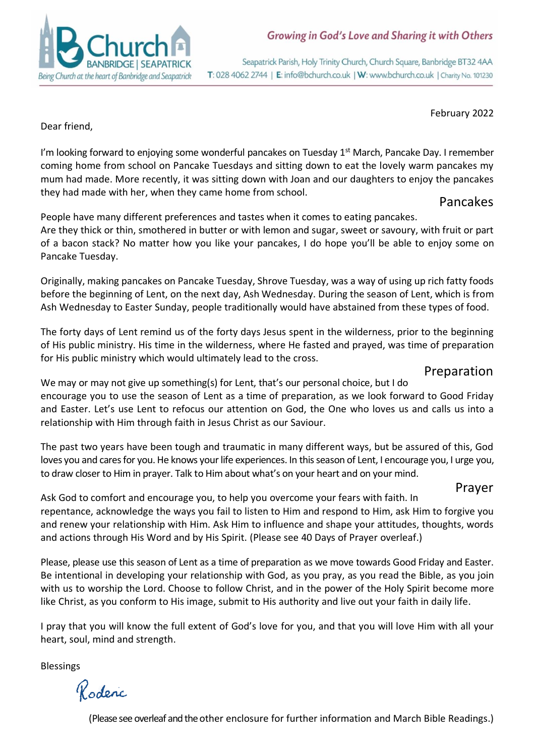

Seapatrick Parish, Holy Trinity Church, Church Square, Banbridge BT32 4AA T: 028 4062 2744 | E: info@bchurch.co.uk | W: www.bchurch.co.uk | Charity No. 101230

February 2022

Dear friend,

I'm looking forward to enjoying some wonderful pancakes on Tuesday 1<sup>st</sup> March, Pancake Day. I remember coming home from school on Pancake Tuesdays and sitting down to eat the lovely warm pancakes my mum had made. More recently, it was sitting down with Joan and our daughters to enjoy the pancakes they had made with her, when they came home from school.

Pancakes

People have many different preferences and tastes when it comes to eating pancakes.

Are they thick or thin, smothered in butter or with lemon and sugar, sweet or savoury, with fruit or part of a bacon stack? No matter how you like your pancakes, I do hope you'll be able to enjoy some on Pancake Tuesday.

Originally, making pancakes on Pancake Tuesday, Shrove Tuesday, was a way of using up rich fatty foods before the beginning of Lent, on the next day, Ash Wednesday. During the season of Lent, which is from Ash Wednesday to Easter Sunday, people traditionally would have abstained from these types of food.

The forty days of Lent remind us of the forty days Jesus spent in the wilderness, prior to the beginning of His public ministry. His time in the wilderness, where He fasted and prayed, was time of preparation for His public ministry which would ultimately lead to the cross.

## Preparation

We may or may not give up something(s) for Lent, that's our personal choice, but I do encourage you to use the season of Lent as a time of preparation, as we look forward to Good Friday and Easter. Let's use Lent to refocus our attention on God, the One who loves us and calls us into a relationship with Him through faith in Jesus Christ as our Saviour.

The past two years have been tough and traumatic in many different ways, but be assured of this, God loves you and cares for you. He knows your life experiences. In this season of Lent, I encourage you, I urge you, to draw closer to Him in prayer. Talk to Him about what's on your heart and on your mind.

## Prayer

Ask God to comfort and encourage you, to help you overcome your fears with faith. In repentance, acknowledge the ways you fail to listen to Him and respond to Him, ask Him to forgive you and renew your relationship with Him. Ask Him to influence and shape your attitudes, thoughts, words and actions through His Word and by His Spirit. (Please see 40 Days of Prayer overleaf.)

Please, please use this season of Lent as a time of preparation as we move towards Good Friday and Easter. Be intentional in developing your relationship with God, as you pray, as you read the Bible, as you join with us to worship the Lord. Choose to follow Christ, and in the power of the Holy Spirit become more like Christ, as you conform to His image, submit to His authority and live out your faith in daily life.

I pray that you will know the full extent of God's love for you, and that you will love Him with all your heart, soul, mind and strength.

Blessings

Roderic

(Please see overleaf and the other enclosure for further information and March Bible Readings.)